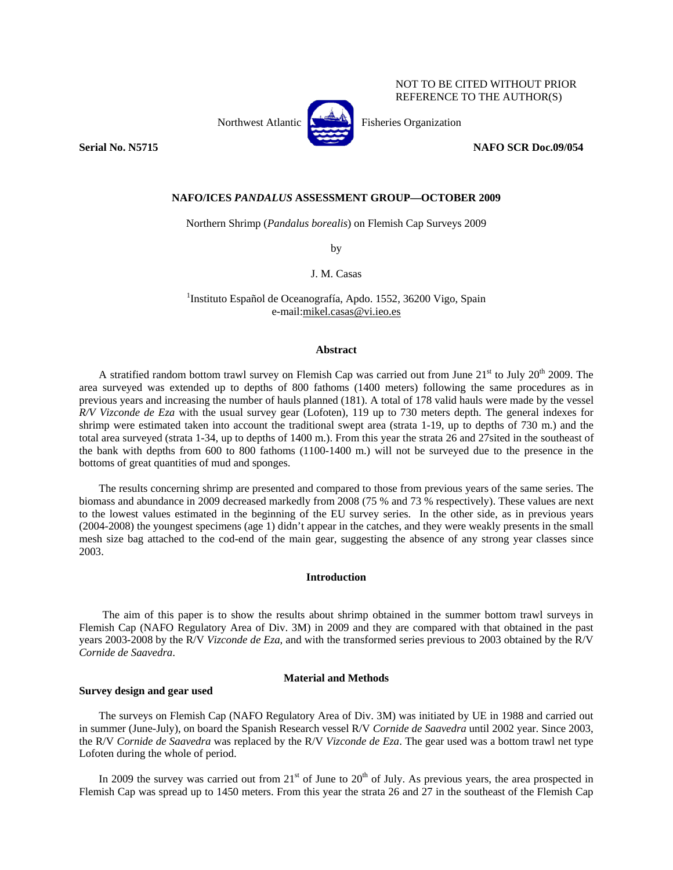Northwest Atlantic **No. 1989** Fisheries Organization



**Serial No. N5715 NAFO SCR Doc.09/054** 

NOT TO BE CITED WITHOUT PRIOR REFERENCE TO THE AUTHOR(S)

# **NAFO/ICES** *PANDALUS* **ASSESSMENT GROUP—OCTOBER 2009**

Northern Shrimp (*Pandalus borealis*) on Flemish Cap Surveys 2009

by

J. M. Casas

<sup>1</sup>Instituto Español de Oceanografía, Apdo. 1552, 36200 Vigo, Spain e-mail:mikel.casas@vi.ieo.es

#### **Abstract**

A stratified random bottom trawl survey on Flemish Cap was carried out from June  $21<sup>st</sup>$  to July  $20<sup>th</sup>$  2009. The area surveyed was extended up to depths of 800 fathoms (1400 meters) following the same procedures as in previous years and increasing the number of hauls planned (181). A total of 178 valid hauls were made by the vessel *R/V Vizconde de Eza* with the usual survey gear (Lofoten)*,* 119 up to 730 meters depth. The general indexes for shrimp were estimated taken into account the traditional swept area (strata 1-19, up to depths of 730 m.) and the total area surveyed (strata 1-34, up to depths of 1400 m.). From this year the strata 26 and 27sited in the southeast of the bank with depths from 600 to 800 fathoms (1100-1400 m.) will not be surveyed due to the presence in the bottoms of great quantities of mud and sponges.

The results concerning shrimp are presented and compared to those from previous years of the same series. The biomass and abundance in 2009 decreased markedly from 2008 (75 % and 73 % respectively). These values are next to the lowest values estimated in the beginning of the EU survey series. In the other side, as in previous years (2004-2008) the youngest specimens (age 1) didn't appear in the catches, and they were weakly presents in the small mesh size bag attached to the cod-end of the main gear, suggesting the absence of any strong year classes since 2003.

# **Introduction**

The aim of this paper is to show the results about shrimp obtained in the summer bottom trawl surveys in Flemish Cap (NAFO Regulatory Area of Div. 3M) in 2009 and they are compared with that obtained in the past years 2003-2008 by the R/V *Vizconde de Eza*, and with the transformed series previous to 2003 obtained by the R/V *Cornide de Saavedra*.

## **Material and Methods**

## **Survey design and gear used**

The surveys on Flemish Cap (NAFO Regulatory Area of Div. 3M) was initiated by UE in 1988 and carried out in summer (June-July), on board the Spanish Research vessel R/V *Cornide de Saavedra* until 2002 year. Since 2003, the R/V *Cornide de Saavedra* was replaced by the R/V *Vizconde de Eza*. The gear used was a bottom trawl net type Lofoten during the whole of period.

In 2009 the survey was carried out from  $21<sup>st</sup>$  of June to  $20<sup>th</sup>$  of July. As previous years, the area prospected in Flemish Cap was spread up to 1450 meters. From this year the strata 26 and 27 in the southeast of the Flemish Cap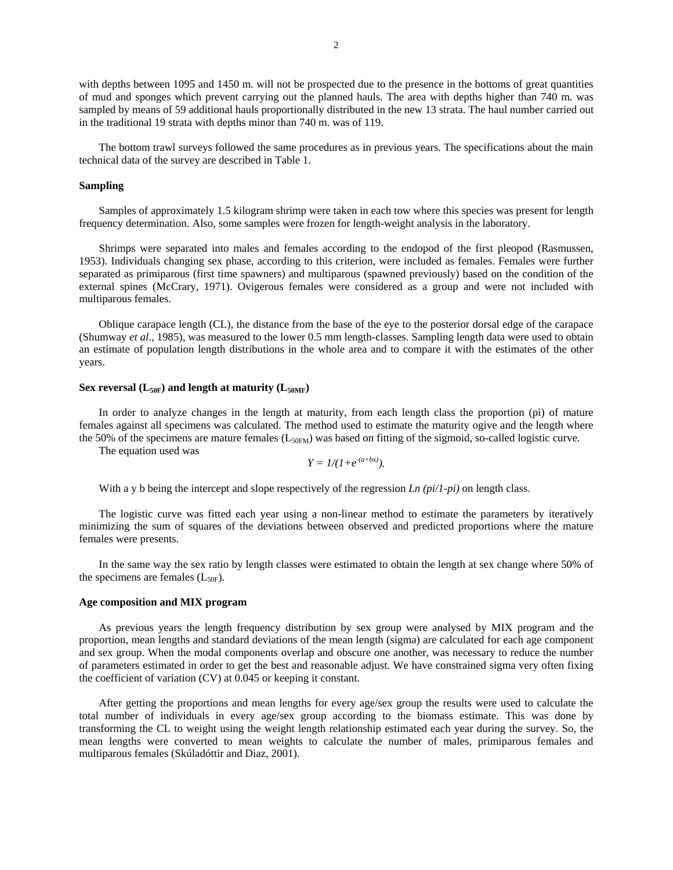with depths between 1095 and 1450 m. will not be prospected due to the presence in the bottoms of great quantities of mud and sponges which prevent carrying out the planned hauls. The area with depths higher than 740 m. was sampled by means of 59 additional hauls proportionally distributed in the new 13 strata. The haul number carried out in the traditional 19 strata with depths minor than 740 m. was of 119.

The bottom trawl surveys followed the same procedures as in previous years. The specifications about the main technical data of the survey are described in Table 1.

## **Sampling**

Samples of approximately 1.5 kilogram shrimp were taken in each tow where this species was present for length frequency determination. Also, some samples were frozen for length-weight analysis in the laboratory.

Shrimps were separated into males and females according to the endopod of the first pleopod (Rasmussen, 1953). Individuals changing sex phase, according to this criterion, were included as females. Females were further separated as primiparous (first time spawners) and multiparous (spawned previously) based on the condition of the external spines (McCrary, 1971). Ovigerous females were considered as a group and were not included with multiparous females.

Oblique carapace length (CL), the distance from the base of the eye to the posterior dorsal edge of the carapace (Shumway *et al*., 1985), was measured to the lower 0.5 mm length-classes. Sampling length data were used to obtain an estimate of population length distributions in the whole area and to compare it with the estimates of the other years.

## **Sex reversal (** $L_{50F}$ **) and length at maturity (** $L_{50MF}$ **)**

In order to analyze changes in the length at maturity, from each length class the proportion (pi) of mature females against all specimens was calculated. The method used to estimate the maturity ogive and the length where the 50% of the specimens are mature females ( $L_{50FM}$ ) was based on fitting of the sigmoid, so-called logistic curve.

The equation used was

$$
Y = 1/(1+e^{-(a+bx)}).
$$

With a y b being the intercept and slope respectively of the regression *Ln (pi/1-pi)* on length class.

The logistic curve was fitted each year using a non-linear method to estimate the parameters by iteratively minimizing the sum of squares of the deviations between observed and predicted proportions where the mature females were presents.

In the same way the sex ratio by length classes were estimated to obtain the length at sex change where 50% of the specimens are females  $(L_{50F})$ .

## **Age composition and MIX program**

As previous years the length frequency distribution by sex group were analysed by MIX program and the proportion, mean lengths and standard deviations of the mean length (sigma) are calculated for each age component and sex group. When the modal components overlap and obscure one another, was necessary to reduce the number of parameters estimated in order to get the best and reasonable adjust. We have constrained sigma very often fixing the coefficient of variation (CV) at 0.045 or keeping it constant.

After getting the proportions and mean lengths for every age/sex group the results were used to calculate the total number of individuals in every age/sex group according to the biomass estimate. This was done by transforming the CL to weight using the weight length relationship estimated each year during the survey. So, the mean lengths were converted to mean weights to calculate the number of males, primiparous females and multiparous females (Skúladóttir and Diaz, 2001).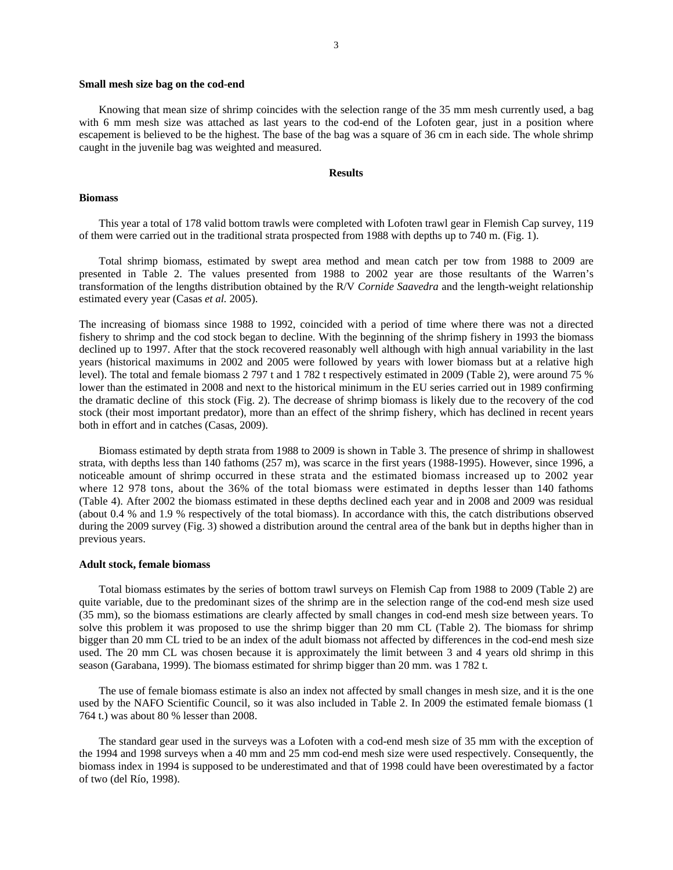#### **Small mesh size bag on the cod-end**

Knowing that mean size of shrimp coincides with the selection range of the 35 mm mesh currently used, a bag with 6 mm mesh size was attached as last years to the cod-end of the Lofoten gear, just in a position where escapement is believed to be the highest. The base of the bag was a square of 36 cm in each side. The whole shrimp caught in the juvenile bag was weighted and measured.

## **Results**

## **Biomass**

This year a total of 178 valid bottom trawls were completed with Lofoten trawl gear in Flemish Cap survey, 119 of them were carried out in the traditional strata prospected from 1988 with depths up to 740 m. (Fig. 1).

Total shrimp biomass, estimated by swept area method and mean catch per tow from 1988 to 2009 are presented in Table 2. The values presented from 1988 to 2002 year are those resultants of the Warren's transformation of the lengths distribution obtained by the R/V *Cornide Saavedra* and the length-weight relationship estimated every year (Casas *et al.* 2005).

The increasing of biomass since 1988 to 1992, coincided with a period of time where there was not a directed fishery to shrimp and the cod stock began to decline. With the beginning of the shrimp fishery in 1993 the biomass declined up to 1997. After that the stock recovered reasonably well although with high annual variability in the last years (historical maximums in 2002 and 2005 were followed by years with lower biomass but at a relative high level). The total and female biomass 2 797 t and 1 782 t respectively estimated in 2009 (Table 2), were around 75 % lower than the estimated in 2008 and next to the historical minimum in the EU series carried out in 1989 confirming the dramatic decline of this stock (Fig. 2). The decrease of shrimp biomass is likely due to the recovery of the cod stock (their most important predator), more than an effect of the shrimp fishery, which has declined in recent years both in effort and in catches (Casas, 2009).

Biomass estimated by depth strata from 1988 to 2009 is shown in Table 3. The presence of shrimp in shallowest strata, with depths less than 140 fathoms (257 m), was scarce in the first years (1988-1995). However, since 1996, a noticeable amount of shrimp occurred in these strata and the estimated biomass increased up to 2002 year where 12 978 tons, about the 36% of the total biomass were estimated in depths lesser than 140 fathoms (Table 4). After 2002 the biomass estimated in these depths declined each year and in 2008 and 2009 was residual (about 0.4 % and 1.9 % respectively of the total biomass). In accordance with this, the catch distributions observed during the 2009 survey (Fig. 3) showed a distribution around the central area of the bank but in depths higher than in previous years.

#### **Adult stock, female biomass**

Total biomass estimates by the series of bottom trawl surveys on Flemish Cap from 1988 to 2009 (Table 2) are quite variable, due to the predominant sizes of the shrimp are in the selection range of the cod-end mesh size used (35 mm), so the biomass estimations are clearly affected by small changes in cod-end mesh size between years. To solve this problem it was proposed to use the shrimp bigger than 20 mm CL (Table 2). The biomass for shrimp bigger than 20 mm CL tried to be an index of the adult biomass not affected by differences in the cod-end mesh size used. The 20 mm CL was chosen because it is approximately the limit between 3 and 4 years old shrimp in this season (Garabana, 1999). The biomass estimated for shrimp bigger than 20 mm. was 1 782 t.

The use of female biomass estimate is also an index not affected by small changes in mesh size, and it is the one used by the NAFO Scientific Council, so it was also included in Table 2. In 2009 the estimated female biomass (1 764 t.) was about 80 % lesser than 2008.

The standard gear used in the surveys was a Lofoten with a cod-end mesh size of 35 mm with the exception of the 1994 and 1998 surveys when a 40 mm and 25 mm cod-end mesh size were used respectively. Consequently, the biomass index in 1994 is supposed to be underestimated and that of 1998 could have been overestimated by a factor of two (del Río, 1998).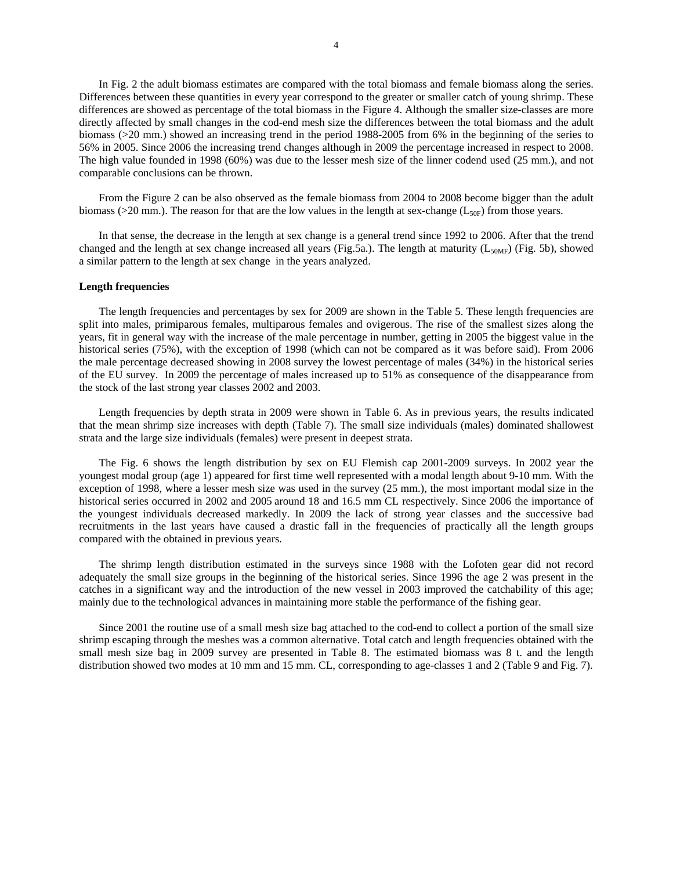In Fig. 2 the adult biomass estimates are compared with the total biomass and female biomass along the series. Differences between these quantities in every year correspond to the greater or smaller catch of young shrimp. These differences are showed as percentage of the total biomass in the Figure 4. Although the smaller size-classes are more directly affected by small changes in the cod-end mesh size the differences between the total biomass and the adult biomass (>20 mm.) showed an increasing trend in the period 1988-2005 from 6% in the beginning of the series to 56% in 2005. Since 2006 the increasing trend changes although in 2009 the percentage increased in respect to 2008. The high value founded in 1998 (60%) was due to the lesser mesh size of the linner codend used (25 mm.), and not comparable conclusions can be thrown.

From the Figure 2 can be also observed as the female biomass from 2004 to 2008 become bigger than the adult biomass ( $>20$  mm.). The reason for that are the low values in the length at sex-change ( $L_{50F}$ ) from those years.

In that sense, the decrease in the length at sex change is a general trend since 1992 to 2006. After that the trend changed and the length at sex change increased all years (Fig.5a.). The length at maturity ( $L_{50\text{MF}}$ ) (Fig. 5b), showed a similar pattern to the length at sex change in the years analyzed.

## **Length frequencies**

The length frequencies and percentages by sex for 2009 are shown in the Table 5. These length frequencies are split into males, primiparous females, multiparous females and ovigerous. The rise of the smallest sizes along the years, fit in general way with the increase of the male percentage in number, getting in 2005 the biggest value in the historical series (75%), with the exception of 1998 (which can not be compared as it was before said). From 2006 the male percentage decreased showing in 2008 survey the lowest percentage of males (34%) in the historical series of the EU survey. In 2009 the percentage of males increased up to 51% as consequence of the disappearance from the stock of the last strong year classes 2002 and 2003.

Length frequencies by depth strata in 2009 were shown in Table 6. As in previous years, the results indicated that the mean shrimp size increases with depth (Table 7). The small size individuals (males) dominated shallowest strata and the large size individuals (females) were present in deepest strata.

The Fig. 6 shows the length distribution by sex on EU Flemish cap 2001-2009 surveys. In 2002 year the youngest modal group (age 1) appeared for first time well represented with a modal length about 9-10 mm. With the exception of 1998, where a lesser mesh size was used in the survey (25 mm.), the most important modal size in the historical series occurred in 2002 and 2005 around 18 and 16.5 mm CL respectively. Since 2006 the importance of the youngest individuals decreased markedly. In 2009 the lack of strong year classes and the successive bad recruitments in the last years have caused a drastic fall in the frequencies of practically all the length groups compared with the obtained in previous years.

The shrimp length distribution estimated in the surveys since 1988 with the Lofoten gear did not record adequately the small size groups in the beginning of the historical series. Since 1996 the age 2 was present in the catches in a significant way and the introduction of the new vessel in 2003 improved the catchability of this age; mainly due to the technological advances in maintaining more stable the performance of the fishing gear.

Since 2001 the routine use of a small mesh size bag attached to the cod-end to collect a portion of the small size shrimp escaping through the meshes was a common alternative. Total catch and length frequencies obtained with the small mesh size bag in 2009 survey are presented in Table 8. The estimated biomass was 8 t. and the length distribution showed two modes at 10 mm and 15 mm. CL, corresponding to age-classes 1 and 2 (Table 9 and Fig. 7).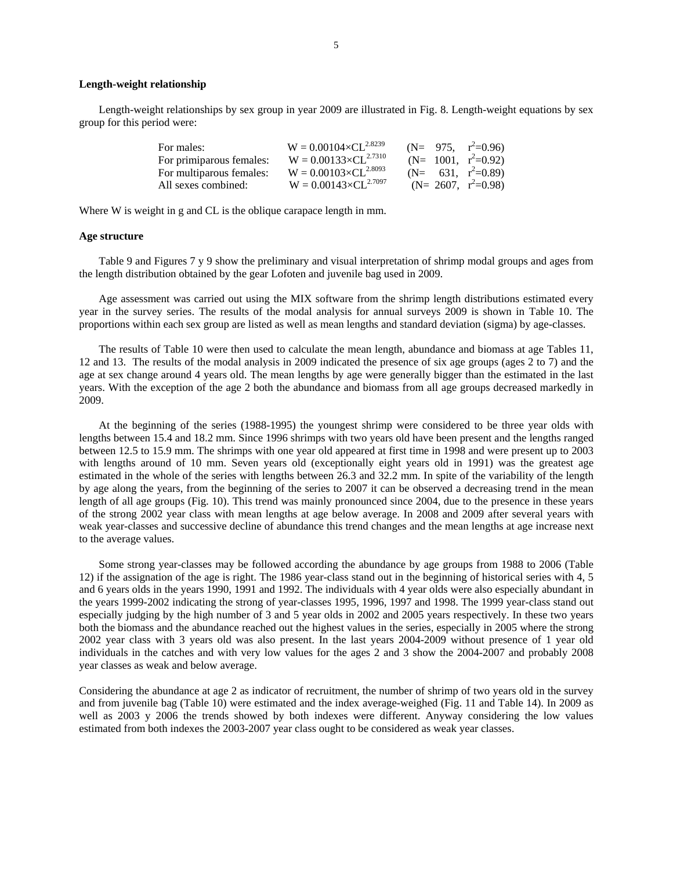## **Length-weight relationship**

Length-weight relationships by sex group in year 2009 are illustrated in Fig. 8. Length-weight equations by sex group for this period were:

| For males:               | $W = 0.00104 \times CL^{2.8239}$ |  | $(N= 975, r^2=0.96)$   |
|--------------------------|----------------------------------|--|------------------------|
| For primiparous females: | $W = 0.00133 \times CL^{2.7310}$ |  | $(N= 1001, r^2=0.92)$  |
| For multiparous females: | $W = 0.00103 \times CL^{2.8093}$ |  | $(N= 631, r^2=0.89)$   |
| All sexes combined:      | $W = 0.00143 \times CL^{2.7097}$ |  | (N= 2607, $r^2=0.98$ ) |

Where W is weight in g and CL is the oblique carapace length in mm.

## **Age structure**

Table 9 and Figures 7 y 9 show the preliminary and visual interpretation of shrimp modal groups and ages from the length distribution obtained by the gear Lofoten and juvenile bag used in 2009.

Age assessment was carried out using the MIX software from the shrimp length distributions estimated every year in the survey series. The results of the modal analysis for annual surveys 2009 is shown in Table 10. The proportions within each sex group are listed as well as mean lengths and standard deviation (sigma) by age-classes.

The results of Table 10 were then used to calculate the mean length, abundance and biomass at age Tables 11, 12 and 13. The results of the modal analysis in 2009 indicated the presence of six age groups (ages 2 to 7) and the age at sex change around 4 years old. The mean lengths by age were generally bigger than the estimated in the last years. With the exception of the age 2 both the abundance and biomass from all age groups decreased markedly in 2009.

At the beginning of the series (1988-1995) the youngest shrimp were considered to be three year olds with lengths between 15.4 and 18.2 mm. Since 1996 shrimps with two years old have been present and the lengths ranged between 12.5 to 15.9 mm. The shrimps with one year old appeared at first time in 1998 and were present up to 2003 with lengths around of 10 mm. Seven years old (exceptionally eight years old in 1991) was the greatest age estimated in the whole of the series with lengths between 26.3 and 32.2 mm. In spite of the variability of the length by age along the years, from the beginning of the series to 2007 it can be observed a decreasing trend in the mean length of all age groups (Fig. 10). This trend was mainly pronounced since 2004, due to the presence in these years of the strong 2002 year class with mean lengths at age below average. In 2008 and 2009 after several years with weak year-classes and successive decline of abundance this trend changes and the mean lengths at age increase next to the average values.

Some strong year-classes may be followed according the abundance by age groups from 1988 to 2006 (Table 12) if the assignation of the age is right. The 1986 year-class stand out in the beginning of historical series with 4, 5 and 6 years olds in the years 1990, 1991 and 1992. The individuals with 4 year olds were also especially abundant in the years 1999-2002 indicating the strong of year-classes 1995, 1996, 1997 and 1998. The 1999 year-class stand out especially judging by the high number of 3 and 5 year olds in 2002 and 2005 years respectively. In these two years both the biomass and the abundance reached out the highest values in the series, especially in 2005 where the strong 2002 year class with 3 years old was also present. In the last years 2004-2009 without presence of 1 year old individuals in the catches and with very low values for the ages 2 and 3 show the 2004-2007 and probably 2008 year classes as weak and below average.

Considering the abundance at age 2 as indicator of recruitment, the number of shrimp of two years old in the survey and from juvenile bag (Table 10) were estimated and the index average-weighed (Fig. 11 and Table 14). In 2009 as well as 2003 y 2006 the trends showed by both indexes were different. Anyway considering the low values estimated from both indexes the 2003-2007 year class ought to be considered as weak year classes.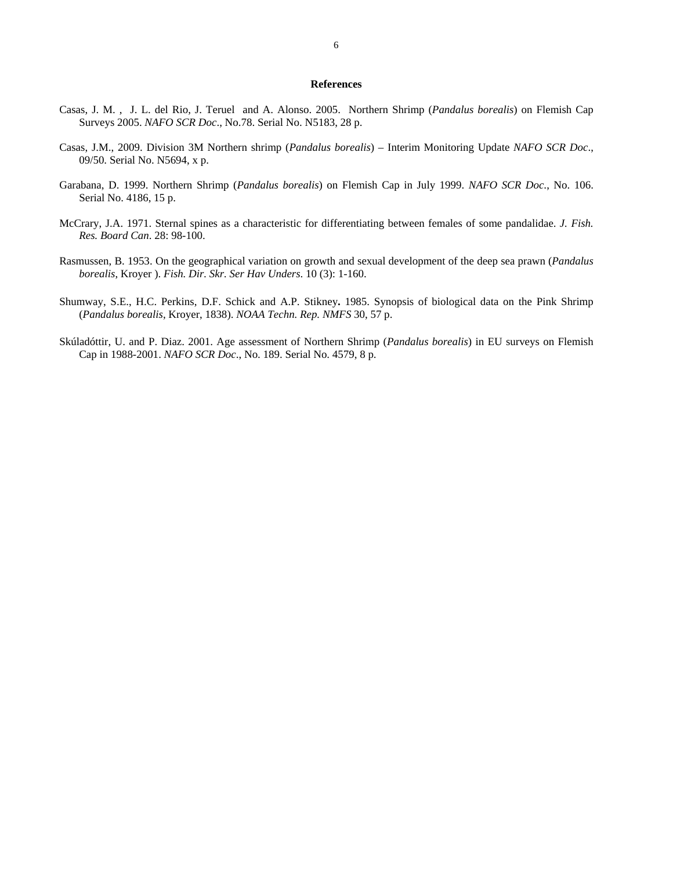## **References**

- Casas, J. M. , J. L. del Rio, J. Teruel and A. Alonso. 2005. Northern Shrimp (*Pandalus borealis*) on Flemish Cap Surveys 2005. *NAFO SCR Doc*., No.78. Serial No. N5183, 28 p.
- Casas, J.M., 2009. Division 3M Northern shrimp (*Pandalus borealis*) Interim Monitoring Update *NAFO SCR Doc*., 09/50. Serial No. N5694, x p.
- Garabana, D. 1999. Northern Shrimp (*Pandalus borealis*) on Flemish Cap in July 1999. *NAFO SCR Doc*., No. 106. Serial No. 4186, 15 p.
- McCrary, J.A. 1971. Sternal spines as a characteristic for differentiating between females of some pandalidae. *J. Fish. Res. Board Can*. 28: 98-100.
- Rasmussen, B. 1953. On the geographical variation on growth and sexual development of the deep sea prawn (*Pandalus borealis*, Kroyer ). *Fish. Dir. Skr. Ser Hav Unders*. 10 (3): 1-160.
- Shumway, S.E., H.C. Perkins, D.F. Schick and A.P. Stikney**.** 1985. Synopsis of biological data on the Pink Shrimp (*Pandalus borealis*, Kroyer, 1838). *NOAA Techn. Rep. NMFS* 30, 57 p.
- Skúladóttir, U. and P. Diaz. 2001. Age assessment of Northern Shrimp (*Pandalus borealis*) in EU surveys on Flemish Cap in 1988-2001. *NAFO SCR Doc*., No. 189. Serial No. 4579, 8 p.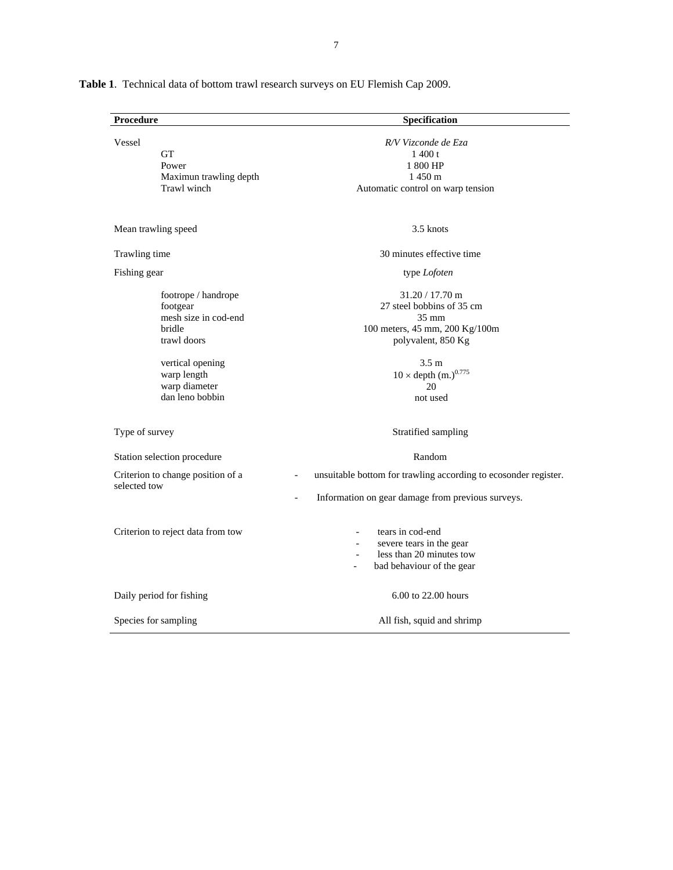| Procedure                                                                                                                                               | Specification                                                                                                                                                                                     |
|---------------------------------------------------------------------------------------------------------------------------------------------------------|---------------------------------------------------------------------------------------------------------------------------------------------------------------------------------------------------|
| Vessel<br><b>GT</b><br>Power<br>Maximun trawling depth<br>Trawl winch                                                                                   | R/V Vizconde de Eza<br>1400 t<br>1 800 HP<br>1 450 m<br>Automatic control on warp tension                                                                                                         |
| Mean trawling speed                                                                                                                                     | 3.5 knots                                                                                                                                                                                         |
| Trawling time                                                                                                                                           | 30 minutes effective time                                                                                                                                                                         |
| Fishing gear                                                                                                                                            | type Lofoten                                                                                                                                                                                      |
| footrope / handrope<br>footgear<br>mesh size in cod-end<br>bridle<br>trawl doors<br>vertical opening<br>warp length<br>warp diameter<br>dan leno bobbin | $31.20 / 17.70$ m<br>27 steel bobbins of 35 cm<br>$35 \text{ mm}$<br>100 meters, 45 mm, 200 Kg/100m<br>polyvalent, 850 Kg<br>3.5 <sub>m</sub><br>$10 \times depth (m.)^{0.775}$<br>20<br>not used |
| Type of survey                                                                                                                                          | Stratified sampling                                                                                                                                                                               |
| Station selection procedure                                                                                                                             | Random                                                                                                                                                                                            |
| Criterion to change position of a<br>selected tow                                                                                                       | unsuitable bottom for trawling according to ecosonder register.<br>$\overline{a}$<br>Information on gear damage from previous surveys.                                                            |
| Criterion to reject data from tow                                                                                                                       | tears in cod-end<br>severe tears in the gear<br>$\overline{\phantom{a}}$<br>less than 20 minutes tow<br>$\overline{\phantom{a}}$<br>bad behaviour of the gear                                     |
| Daily period for fishing                                                                                                                                | 6.00 to 22.00 hours                                                                                                                                                                               |
| Species for sampling                                                                                                                                    | All fish, squid and shrimp                                                                                                                                                                        |

**Table 1**. Technical data of bottom trawl research surveys on EU Flemish Cap 2009.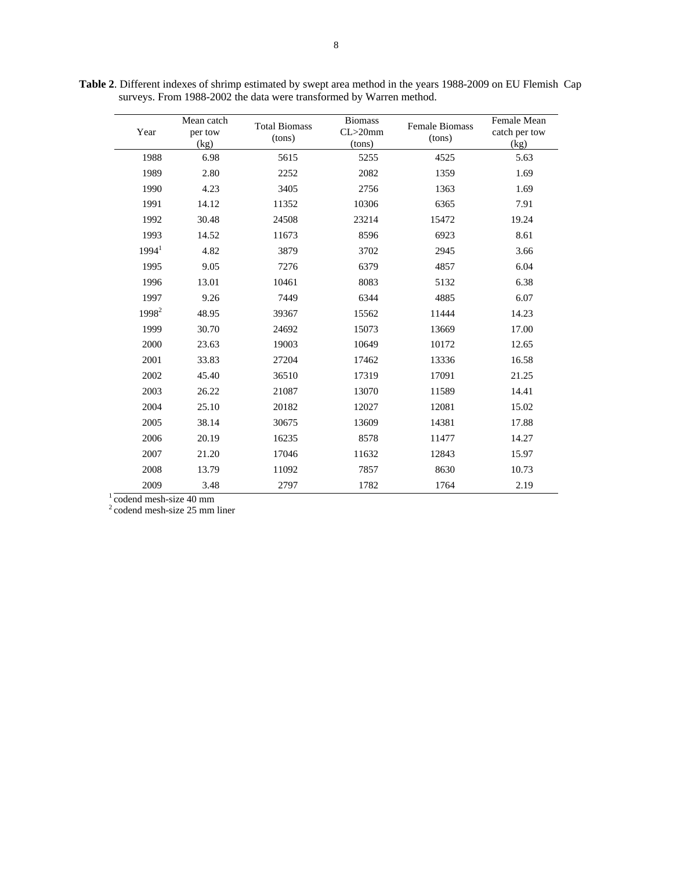| Year                   | Mean catch<br>per tow<br>(kg) | <b>Total Biomass</b><br>(tons) | <b>Biomass</b><br>$CL > 20$ mm<br>(tons) | Female Biomass<br>(tons) | Female Mean<br>catch per tow<br>(kg) |
|------------------------|-------------------------------|--------------------------------|------------------------------------------|--------------------------|--------------------------------------|
| 1988                   | 6.98                          | 5615                           | 5255                                     | 4525                     | 5.63                                 |
| 1989                   | 2.80                          | 2252                           | 2082                                     | 1359                     | 1.69                                 |
| 1990                   | 4.23                          | 3405                           | 2756                                     | 1363                     | 1.69                                 |
| 1991                   | 14.12                         | 11352                          | 10306                                    | 6365                     | 7.91                                 |
| 1992                   | 30.48                         | 24508                          | 23214                                    | 15472                    | 19.24                                |
| 1993                   | 14.52                         | 11673                          | 8596                                     | 6923                     | 8.61                                 |
| 1994 <sup>1</sup>      | 4.82                          | 3879                           | 3702                                     | 2945                     | 3.66                                 |
| 1995                   | 9.05                          | 7276                           | 6379                                     | 4857                     | 6.04                                 |
| 1996                   | 13.01                         | 10461                          | 8083                                     | 5132                     | 6.38                                 |
| 1997                   | 9.26                          | 7449                           | 6344                                     | 4885                     | 6.07                                 |
| 1998 <sup>2</sup>      | 48.95                         | 39367                          | 15562                                    | 11444                    | 14.23                                |
| 1999                   | 30.70                         | 24692                          | 15073                                    | 13669                    | 17.00                                |
| 2000                   | 23.63                         | 19003                          | 10649                                    | 10172                    | 12.65                                |
| 2001                   | 33.83                         | 27204                          | 17462                                    | 13336                    | 16.58                                |
| 2002                   | 45.40                         | 36510                          | 17319                                    | 17091                    | 21.25                                |
| 2003                   | 26.22                         | 21087                          | 13070                                    | 11589                    | 14.41                                |
| 2004                   | 25.10                         | 20182                          | 12027                                    | 12081                    | 15.02                                |
| 2005                   | 38.14                         | 30675                          | 13609                                    | 14381                    | 17.88                                |
| 2006                   | 20.19                         | 16235                          | 8578                                     | 11477                    | 14.27                                |
| 2007                   | 21.20                         | 17046                          | 11632                                    | 12843                    | 15.97                                |
| 2008                   | 13.79                         | 11092                          | 7857                                     | 8630                     | 10.73                                |
| 2009                   | 3.48                          | 2797                           | 1782                                     | 1764                     | 2.19                                 |
| codend mesh-size 40 mm |                               |                                |                                          |                          |                                      |

**Table 2**. Different indexes of shrimp estimated by swept area method in the years 1988-2009 on EU Flemish Cap surveys. From 1988-2002 the data were transformed by Warren method.

 $2^2$  codend mesh-size 25 mm liner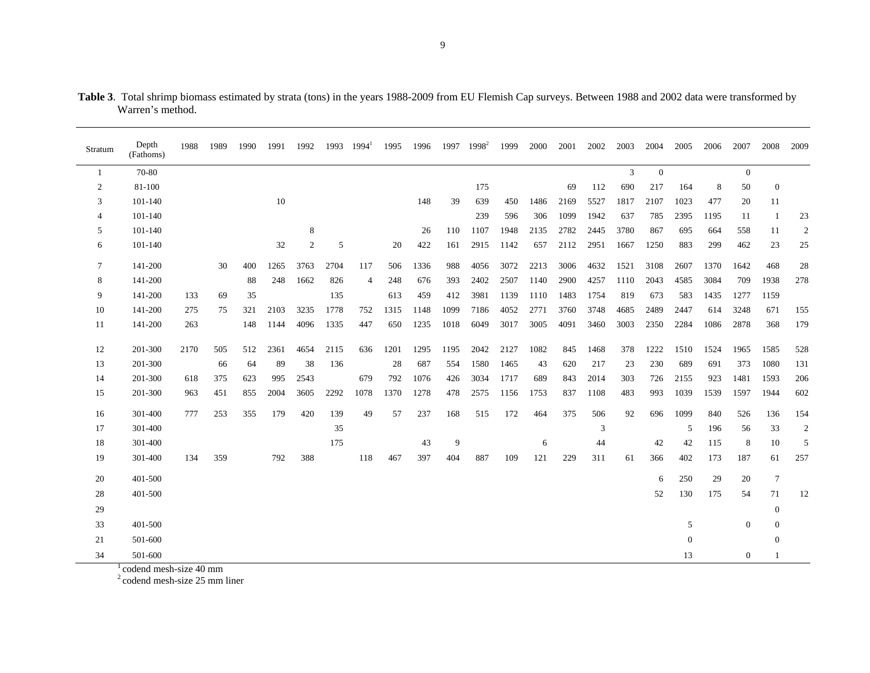| Stratum        | Depth<br>(Fathoms) | 1988 | 1989 | 1990 | 1991 | 1992 | 1993 | $1994^1$       | 1995 | 1996 |      | 1997 1998 <sup>2</sup> | 1999 | 2000 | 2001 | 2002 | 2003 | 2004         | 2005     | 2006 | 2007             | 2008             | 2009             |
|----------------|--------------------|------|------|------|------|------|------|----------------|------|------|------|------------------------|------|------|------|------|------|--------------|----------|------|------------------|------------------|------------------|
| -1             | 70-80              |      |      |      |      |      |      |                |      |      |      |                        |      |      |      |      | 3    | $\mathbf{0}$ |          |      | $\mathbf{0}$     |                  |                  |
| $\overline{c}$ | 81-100             |      |      |      |      |      |      |                |      |      |      | 175                    |      |      | 69   | 112  | 690  | 217          | 164      | 8    | 50               | $\mathbf{0}$     |                  |
| 3              | 101-140            |      |      |      | 10   |      |      |                |      | 148  | 39   | 639                    | 450  | 1486 | 2169 | 5527 | 1817 | 2107         | 1023     | 477  | 20               | 11               |                  |
| 4              | 101-140            |      |      |      |      |      |      |                |      |      |      | 239                    | 596  | 306  | 1099 | 1942 | 637  | 785          | 2395     | 1195 | 11               | -1               | 23               |
| 5              | 101-140            |      |      |      |      | 8    |      |                |      | 26   | 110  | 1107                   | 1948 | 2135 | 2782 | 2445 | 3780 | 867          | 695      | 664  | 558              | 11               | $\boldsymbol{2}$ |
| 6              | 101-140            |      |      |      | 32   | 2    | 5    |                | 20   | 422  | 161  | 2915                   | 1142 | 657  | 2112 | 2951 | 1667 | 1250         | 883      | 299  | 462              | 23               | 25               |
| $\overline{7}$ | 141-200            |      | 30   | 400  | 1265 | 3763 | 2704 | 117            | 506  | 1336 | 988  | 4056                   | 3072 | 2213 | 3006 | 4632 | 1521 | 3108         | 2607     | 1370 | 1642             | 468              | 28               |
| 8              | 141-200            |      |      | 88   | 248  | 1662 | 826  | $\overline{4}$ | 248  | 676  | 393  | 2402                   | 2507 | 1140 | 2900 | 4257 | 1110 | 2043         | 4585     | 3084 | 709              | 1938             | 278              |
| 9              | 141-200            | 133  | 69   | 35   |      |      | 135  |                | 613  | 459  | 412  | 3981                   | 1139 | 1110 | 1483 | 1754 | 819  | 673          | 583      | 1435 | 1277             | 1159             |                  |
| 10             | 141-200            | 275  | 75   | 321  | 2103 | 3235 | 1778 | 752            | 1315 | 1148 | 1099 | 7186                   | 4052 | 2771 | 3760 | 3748 | 4685 | 2489         | 2447     | 614  | 3248             | 671              | 155              |
| 11             | 141-200            | 263  |      | 148  | 1144 | 4096 | 1335 | 447            | 650  | 1235 | 1018 | 6049                   | 3017 | 3005 | 4091 | 3460 | 3003 | 2350         | 2284     | 1086 | 2878             | 368              | 179              |
| 12             | 201-300            | 2170 | 505  | 512  | 2361 | 4654 | 2115 | 636            | 1201 | 1295 | 1195 | 2042                   | 2127 | 1082 | 845  | 1468 | 378  | 1222         | 1510     | 1524 | 1965             | 1585             | 528              |
| 13             | 201-300            |      | 66   | 64   | 89   | 38   | 136  |                | 28   | 687  | 554  | 1580                   | 1465 | 43   | 620  | 217  | 23   | 230          | 689      | 691  | 373              | 1080             | 131              |
| 14             | 201-300            | 618  | 375  | 623  | 995  | 2543 |      | 679            | 792  | 1076 | 426  | 3034                   | 1717 | 689  | 843  | 2014 | 303  | 726          | 2155     | 923  | 1481             | 1593             | 206              |
| 15             | 201-300            | 963  | 451  | 855  | 2004 | 3605 | 2292 | 1078           | 1370 | 1278 | 478  | 2575                   | 1156 | 1753 | 837  | 1108 | 483  | 993          | 1039     | 1539 | 1597             | 1944             | 602              |
| 16             | 301-400            | 777  | 253  | 355  | 179  | 420  | 139  | 49             | 57   | 237  | 168  | 515                    | 172  | 464  | 375  | 506  | 92   | 696          | 1099     | 840  | 526              | 136              | 154              |
| 17             | 301-400            |      |      |      |      |      | 35   |                |      |      |      |                        |      |      |      | 3    |      |              | 5        | 196  | 56               | 33               | $\sqrt{2}$       |
| 18             | 301-400            |      |      |      |      |      | 175  |                |      | 43   | 9    |                        |      | 6    |      | 44   |      | 42           | 42       | 115  | 8                | 10               | 5                |
| 19             | 301-400            | 134  | 359  |      | 792  | 388  |      | 118            | 467  | 397  | 404  | 887                    | 109  | 121  | 229  | 311  | 61   | 366          | 402      | 173  | 187              | 61               | 257              |
| 20             | 401-500            |      |      |      |      |      |      |                |      |      |      |                        |      |      |      |      |      | 6            | 250      | 29   | 20               | $\tau$           |                  |
| 28             | 401-500            |      |      |      |      |      |      |                |      |      |      |                        |      |      |      |      |      | 52           | 130      | 175  | 54               | 71               | 12               |
| 29             |                    |      |      |      |      |      |      |                |      |      |      |                        |      |      |      |      |      |              |          |      |                  | $\mathbf{0}$     |                  |
| 33             | 401-500            |      |      |      |      |      |      |                |      |      |      |                        |      |      |      |      |      |              | 5        |      | $\mathbf{0}$     | $\boldsymbol{0}$ |                  |
| 21             | 501-600            |      |      |      |      |      |      |                |      |      |      |                        |      |      |      |      |      |              | $\theta$ |      |                  | $\theta$         |                  |
| 34             | 501-600            |      |      |      |      |      |      |                |      |      |      |                        |      |      |      |      |      |              | 13       |      | $\boldsymbol{0}$ |                  |                  |

**Table 3**. Total shrimp biomass estimated by strata (tons) in the years 1988-2009 from EU Flemish Cap surveys. Between 1988 and 2002 data were transformed by Warren's method.

 $\frac{1}{2}$ codend mesh-size 40 mm<br> $\frac{2}{2}$ codend mesh-size 25 mm liner

9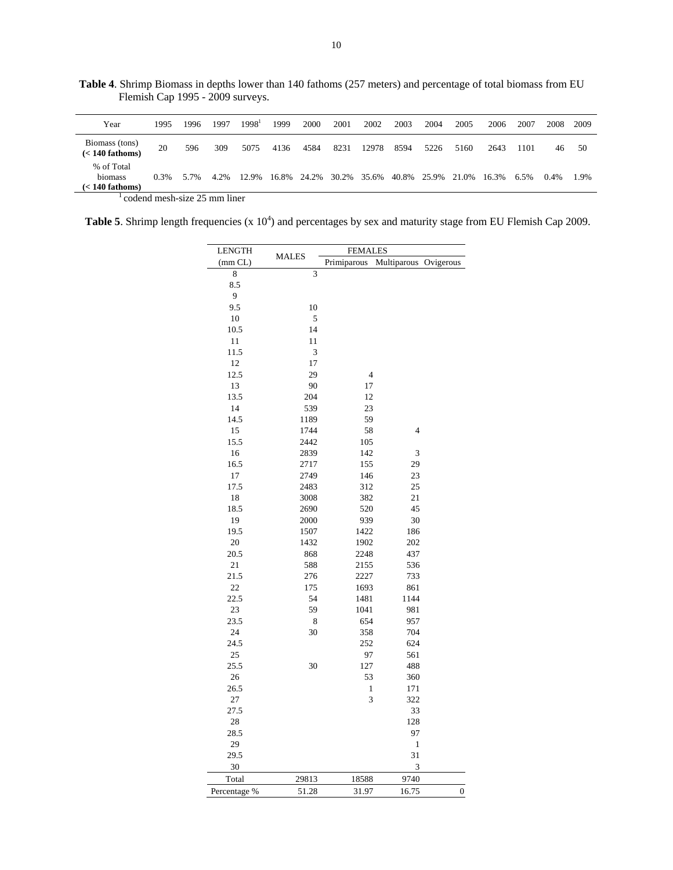| Year                                       | 1995    | 1996 | 1997 | 1998 <sup>1</sup> | 1999 | 2000                    | 2001 | 2002  | 2003 | 2004        | 2005  | 2006  | 2007 | 2008    | 2009 |
|--------------------------------------------|---------|------|------|-------------------|------|-------------------------|------|-------|------|-------------|-------|-------|------|---------|------|
| Biomass (tons)<br>$(< 140$ fathoms)        | 20      | 596  | 309  | 5075              | 4136 | 4584                    | 8231 | 12978 | 8594 | 5226        | 5160  | 2643  | 1101 | 46      | 50   |
| % of Total<br>biomass<br>$(< 140$ fathoms) | $0.3\%$ | 5.7% | 4.2% | 12.9%             |      | 16.8% 24.2% 30.2% 35.6% |      |       |      | 40.8% 25.9% | 21.0% | 16.3% | 6.5% | $0.4\%$ | 1.9% |

**Table 4**. Shrimp Biomass in depths lower than 140 fathoms (257 meters) and percentage of total biomass from EU Flemish Cap 1995 - 2009 surveys.

codend mesh-size 25 mm liner

**Table 5.** Shrimp length frequencies  $(x 10<sup>4</sup>)$  and percentages by sex and maturity stage from EU Flemish Cap 2009.

| LENGTH       |              | <b>FEMALES</b> |                |                  |  |  |  |  |  |  |  |  |  |
|--------------|--------------|----------------|----------------|------------------|--|--|--|--|--|--|--|--|--|
| (mm CL)      | <b>MALES</b> | Primiparous    | Multiparous    | Ovigerous        |  |  |  |  |  |  |  |  |  |
| 8            | 3            |                |                |                  |  |  |  |  |  |  |  |  |  |
| 8.5          |              |                |                |                  |  |  |  |  |  |  |  |  |  |
| 9            |              |                |                |                  |  |  |  |  |  |  |  |  |  |
| 9.5          | 10           |                |                |                  |  |  |  |  |  |  |  |  |  |
| 10           | 5            |                |                |                  |  |  |  |  |  |  |  |  |  |
| 10.5         | 14           |                |                |                  |  |  |  |  |  |  |  |  |  |
| 11           | 11           |                |                |                  |  |  |  |  |  |  |  |  |  |
| 11.5         | 3            |                |                |                  |  |  |  |  |  |  |  |  |  |
| 12           | 17           |                |                |                  |  |  |  |  |  |  |  |  |  |
| 12.5         | 29           | $\overline{4}$ |                |                  |  |  |  |  |  |  |  |  |  |
| 13           | 90           | 17             |                |                  |  |  |  |  |  |  |  |  |  |
| 13.5         | 204          | 12             |                |                  |  |  |  |  |  |  |  |  |  |
| 14           | 539          | 23             |                |                  |  |  |  |  |  |  |  |  |  |
| 14.5         | 1189         | 59             |                |                  |  |  |  |  |  |  |  |  |  |
| 15           | 1744         | 58             | $\overline{4}$ |                  |  |  |  |  |  |  |  |  |  |
| 15.5         | 2442         | 105            |                |                  |  |  |  |  |  |  |  |  |  |
| 16           | 2839         | 142            | 3              |                  |  |  |  |  |  |  |  |  |  |
| 16.5         | 2717         | 155            | 29             |                  |  |  |  |  |  |  |  |  |  |
| 17           | 2749         | 146            | 23             |                  |  |  |  |  |  |  |  |  |  |
| 17.5         | 2483         | 312            | 25             |                  |  |  |  |  |  |  |  |  |  |
| 18           | 3008         | 382            | 21             |                  |  |  |  |  |  |  |  |  |  |
| 18.5         | 2690         | 520            | 45             |                  |  |  |  |  |  |  |  |  |  |
| 19           | 2000         | 939            | 30             |                  |  |  |  |  |  |  |  |  |  |
| 19.5         | 1507         | 1422           | 186            |                  |  |  |  |  |  |  |  |  |  |
| 20           | 1432         | 1902           | 202            |                  |  |  |  |  |  |  |  |  |  |
| 20.5         | 868          | 2248           | 437            |                  |  |  |  |  |  |  |  |  |  |
| 21           | 588          | 2155           | 536            |                  |  |  |  |  |  |  |  |  |  |
| 21.5         | 276          | 2227           | 733            |                  |  |  |  |  |  |  |  |  |  |
| 22           | 175          | 1693           | 861            |                  |  |  |  |  |  |  |  |  |  |
| 22.5         | 54           | 1481           | 1144           |                  |  |  |  |  |  |  |  |  |  |
| 23<br>23.5   | 59<br>8      | 1041           | 981<br>957     |                  |  |  |  |  |  |  |  |  |  |
| 24           | 30           | 654<br>358     | 704            |                  |  |  |  |  |  |  |  |  |  |
| 24.5         |              | 252            | 624            |                  |  |  |  |  |  |  |  |  |  |
| 25           |              | 97             | 561            |                  |  |  |  |  |  |  |  |  |  |
| 25.5         | 30           | 127            | 488            |                  |  |  |  |  |  |  |  |  |  |
| 26           |              | 53             | 360            |                  |  |  |  |  |  |  |  |  |  |
| 26.5         |              | 1              | 171            |                  |  |  |  |  |  |  |  |  |  |
| 27           |              | 3              | 322            |                  |  |  |  |  |  |  |  |  |  |
| 27.5         |              |                | 33             |                  |  |  |  |  |  |  |  |  |  |
| 28           |              |                | 128            |                  |  |  |  |  |  |  |  |  |  |
| 28.5         |              |                | 97             |                  |  |  |  |  |  |  |  |  |  |
| 29           |              |                | 1              |                  |  |  |  |  |  |  |  |  |  |
| 29.5         |              |                | 31             |                  |  |  |  |  |  |  |  |  |  |
| 30           |              |                | 3              |                  |  |  |  |  |  |  |  |  |  |
| Total        | 29813        | 18588          | 9740           |                  |  |  |  |  |  |  |  |  |  |
| Percentage % | 51.28        | 31.97          | 16.75          | $\boldsymbol{0}$ |  |  |  |  |  |  |  |  |  |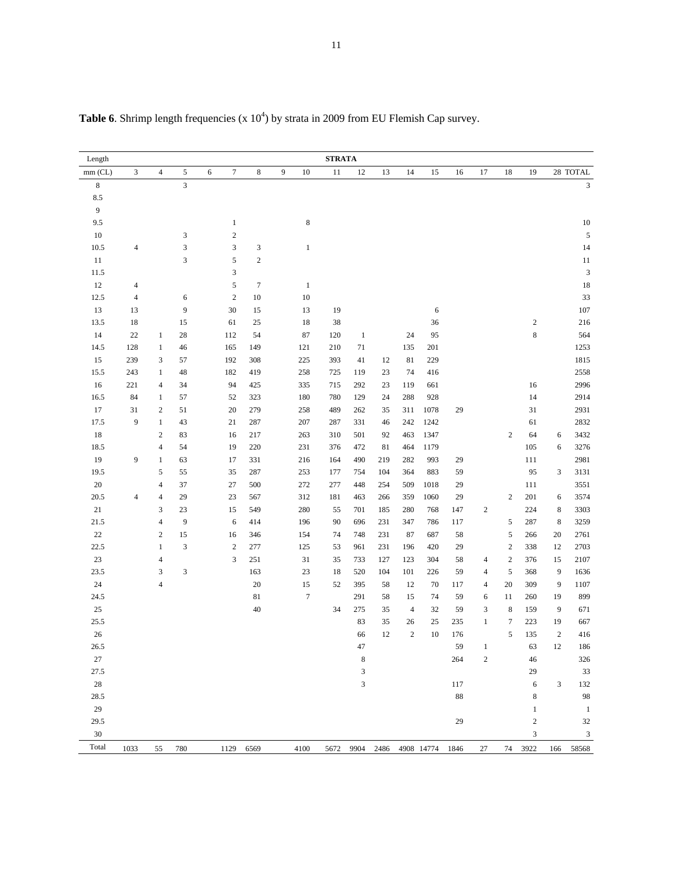| Length    |                |                          |                           |                       |                           |   |                  | <b>STRATA</b> |              |        |                |                           |     |                |                  |              |                |                |
|-----------|----------------|--------------------------|---------------------------|-----------------------|---------------------------|---|------------------|---------------|--------------|--------|----------------|---------------------------|-----|----------------|------------------|--------------|----------------|----------------|
| $mm$ (CL) | $\mathfrak{Z}$ | $\overline{4}$           | 5                         | $\boldsymbol{7}$<br>6 | $\,8\,$                   | 9 | 10               | 11            | 12           | 13     | 14             | 15                        | 16  | 17             | 18               | 19           |                | 28 TOTAL       |
| $\,8\,$   |                |                          | 3                         |                       |                           |   |                  |               |              |        |                |                           |     |                |                  |              |                | $\mathfrak{Z}$ |
| $\ \ 8.5$ |                |                          |                           |                       |                           |   |                  |               |              |        |                |                           |     |                |                  |              |                |                |
| 9         |                |                          |                           |                       |                           |   |                  |               |              |        |                |                           |     |                |                  |              |                |                |
| 9.5       |                |                          |                           | $\mathbf{1}$          |                           |   | $\,8\,$          |               |              |        |                |                           |     |                |                  |              |                | $10\,$         |
| 10        |                |                          | 3                         | $\sqrt{2}$            |                           |   |                  |               |              |        |                |                           |     |                |                  |              |                | $\sqrt{5}$     |
| 10.5      | $\overline{4}$ |                          | $\ensuremath{\mathsf{3}}$ | $\mathfrak{Z}$        | $\ensuremath{\mathbf{3}}$ |   | $1\,$            |               |              |        |                |                           |     |                |                  |              |                | 14             |
| $11\,$    |                |                          | 3                         | $\sqrt{5}$            | $\sqrt{2}$                |   |                  |               |              |        |                |                           |     |                |                  |              |                | 11             |
| 11.5      |                |                          |                           | $\mathfrak z$         |                           |   |                  |               |              |        |                |                           |     |                |                  |              |                | $\sqrt{3}$     |
| $12\,$    | $\overline{4}$ |                          |                           | $\sqrt{5}$            | $\boldsymbol{7}$          |   | $1\,$            |               |              |        |                |                           |     |                |                  |              |                | $18\,$         |
| 12.5      | $\overline{4}$ |                          | 6                         | $\sqrt{2}$            | $10\,$                    |   | 10               |               |              |        |                |                           |     |                |                  |              |                | 33             |
| $13\,$    | 13             |                          | 9                         | 30                    | 15                        |   | 13               | 19            |              |        |                | $\sqrt{6}$                |     |                |                  |              |                | $107\,$        |
| 13.5      | 18             |                          | 15                        | 61                    | 25                        |   | 18               | 38            |              |        |                | 36                        |     |                |                  | $\sqrt{2}$   |                | $216\,$        |
| 14        | $22\,$         | $\mathbf{1}$             | $28\,$                    | 112                   | 54                        |   | 87               | 120           | $\mathbf{1}$ |        | 24             | 95                        |     |                |                  | $\,$ 8 $\,$  |                | 564            |
| 14.5      | 128            | $\mathbf{1}$             | 46                        | 165                   | 149                       |   | 121              | 210           | 71           |        | 135            | 201                       |     |                |                  |              |                | 1253           |
| 15        | 239            | 3                        | 57                        | 192                   | 308                       |   | 225              | 393           | 41           | 12     | 81             | 229                       |     |                |                  |              |                | 1815           |
| 15.5      | 243            | $\mathbf{1}$             | 48                        | 182                   | 419                       |   | 258              | 725           | 119          | $23\,$ | 74             | 416                       |     |                |                  |              |                | 2558           |
| 16        | 221            | $\overline{\mathcal{L}}$ | 34                        | 94                    | 425                       |   | 335              | 715           | 292          | 23     | 119            | 661                       |     |                |                  | $16\,$       |                | 2996           |
| 16.5      | 84             | $\mathbf{1}$             | 57                        | 52                    | 323                       |   | 180              | 780           | 129          | 24     | 288            | 928                       |     |                |                  | 14           |                | 2914           |
| 17        | 31             | $\sqrt{2}$               | 51                        | $20\,$                | 279                       |   | 258              | 489           | 262          | 35     | 311            | 1078                      | 29  |                |                  | 31           |                | 2931           |
| 17.5      | 9              | $\mathbf{1}$             | 43                        | 21                    | 287                       |   | 207              | 287           | 331          | 46     | 242            | 1242                      |     |                |                  | 61           |                | 2832           |
| $18\,$    |                | $\mathbf{2}$             | 83                        | 16                    |                           |   |                  | 310           | 501          | 92     | 463            | 1347                      |     |                | $\sqrt{2}$       | 64           |                | 3432           |
| 18.5      |                | 4                        | 54                        | 19                    | 217                       |   | 263              | 376           | 472          | 81     | 464            | 1179                      |     |                |                  | 105          | 6<br>6         | 3276           |
| 19        | 9              |                          |                           |                       | 220<br>331                |   | 231              |               | 490          |        | 282            | 993                       | 29  |                |                  |              |                | 2981           |
|           |                | $\mathbf{1}$             | 63                        | 17                    |                           |   | 216              | 164           |              | 219    |                |                           |     |                |                  | 111          |                |                |
| 19.5      |                | 5                        | 55                        | 35                    | 287                       |   | 253              | 177           | 754          | 104    | 364            | 883                       | 59  |                |                  | 95           | 3              | 3131           |
| $20\,$    |                | $\overline{\mathcal{L}}$ | 37                        | 27                    | 500                       |   | 272              | 277           | 448          | 254    | 509            | 1018                      | 29  |                |                  | 111          |                | 3551           |
| 20.5      | $\overline{4}$ | $\overline{\mathcal{L}}$ | 29                        | 23                    | 567                       |   | 312              | 181           | 463          | 266    | 359            | 1060                      | 29  |                | $\sqrt{2}$       | 201          | 6              | 3574           |
| $21\,$    |                | 3                        | $23\,$                    | 15                    | 549                       |   | 280              | 55            | 701          | 185    | 280            | 768                       | 147 | $\sqrt{2}$     |                  | 224          | 8              | 3303           |
| 21.5      |                | $\overline{\mathbf{4}}$  | $\boldsymbol{9}$          | 6                     | 414                       |   | 196              | 90            | 696          | 231    | 347            | 786                       | 117 |                | $\sqrt{5}$       | 287          | $\,8\,$        | 3259           |
| $22\,$    |                | $\mathbf{2}$             | 15                        | 16                    | 346                       |   | 154              | 74            | 748          | 231    | 87             | 687                       | 58  |                | 5                | 266          | 20             | 2761           |
| 22.5      |                | $\,1$                    | 3                         | $\sqrt{2}$            | 277                       |   | 125              | 53            | 961          | 231    | 196            | 420                       | 29  |                | $\sqrt{2}$       | 338          | 12             | 2703           |
| $23\,$    |                | $\overline{4}$           |                           | $\mathfrak{Z}$        | 251                       |   | 31               | 35            | 733          | 127    | 123            | 304                       | 58  | 4              | $\sqrt{2}$       | 376          | 15             | 2107           |
| 23.5      |                | 3                        | 3                         |                       | 163                       |   | $23\,$           | 18            | 520          | 104    | 101            | 226                       | 59  | 4              | 5                | 368          | 9              | 1636           |
| $24\,$    |                | $\overline{4}$           |                           |                       | 20                        |   | 15               | 52            | 395          | 58     | 12             | 70                        | 117 | $\overline{4}$ | 20               | 309          | 9              | 1107           |
| 24.5      |                |                          |                           |                       | $8\sqrt{1}$               |   | $\boldsymbol{7}$ |               | 291          | 58     | 15             | 74                        | 59  | 6              | 11               | 260          | 19             | 899            |
| $25\,$    |                |                          |                           |                       | $40\,$                    |   |                  | 34            | 275          | 35     | $\overline{4}$ | $32\,$                    | 59  | 3              | 8                | 159          | 9              | 671            |
| 25.5      |                |                          |                           |                       |                           |   |                  |               | 83           | 35     | 26             | 25                        | 235 | $\mathbf{1}$   | $\boldsymbol{7}$ | 223          | 19             | 667            |
| 26        |                |                          |                           |                       |                           |   |                  |               | 66           | 12     | $\sqrt{2}$     | 10                        | 176 |                | 5                | 135          | $\sqrt{2}$     | 416            |
| 26.5      |                |                          |                           |                       |                           |   |                  |               | 47           |        |                |                           | 59  | $\,1$          |                  | 63           | $12\,$         | 186            |
| 27        |                |                          |                           |                       |                           |   |                  |               | $\,$ 8 $\,$  |        |                |                           | 264 | $\mathbf{2}$   |                  | 46           |                | 326            |
| 27.5      |                |                          |                           |                       |                           |   |                  |               | 3            |        |                |                           |     |                |                  | 29           |                | 33             |
| 28        |                |                          |                           |                       |                           |   |                  |               | 3            |        |                |                           | 117 |                |                  | 6            | $\mathfrak{Z}$ | 132            |
| 28.5      |                |                          |                           |                       |                           |   |                  |               |              |        |                |                           | 88  |                |                  | 8            |                | 98             |
| 29        |                |                          |                           |                       |                           |   |                  |               |              |        |                |                           |     |                |                  | $\mathbf{1}$ |                | $\mathbf{1}$   |
| 29.5      |                |                          |                           |                       |                           |   |                  |               |              |        |                |                           | 29  |                |                  | $\sqrt{2}$   |                | 32             |
| 30        |                |                          |                           |                       |                           |   |                  |               |              |        |                |                           |     |                |                  | 3            |                | 3              |
| Total     | 1033           | 55                       | 780                       |                       | 1129 6569                 |   | 4100             | 5672          |              |        |                | 9904 2486 4908 14774 1846 |     | 27             |                  | 74 3922      | 166            | 58568          |

**Table 6.** Shrimp length frequencies  $(x 10<sup>4</sup>)$  by strata in 2009 from EU Flemish Cap survey.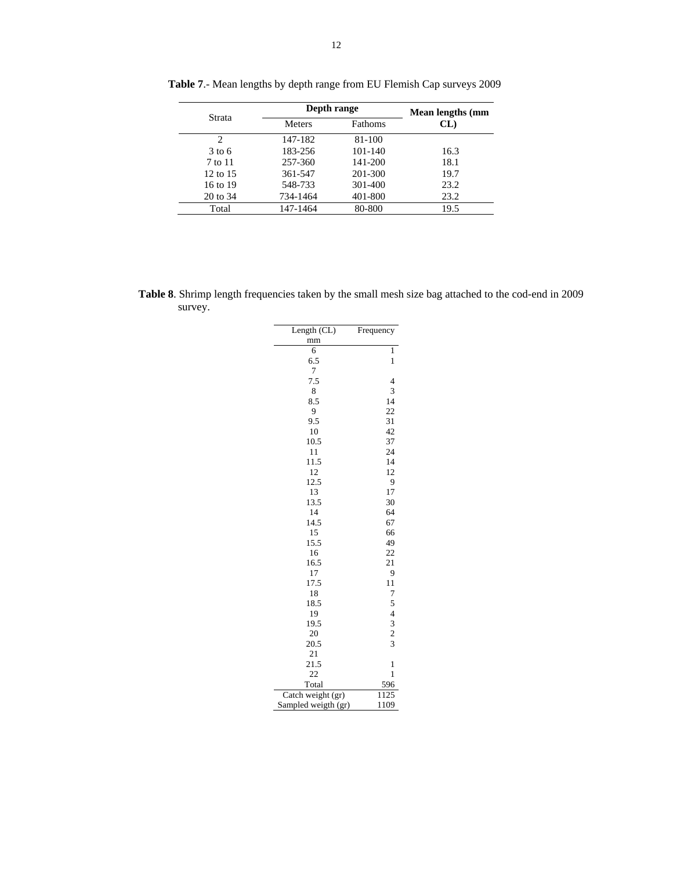|          | Depth range   | Mean lengths (mm |      |
|----------|---------------|------------------|------|
| Strata   | <b>Meters</b> | Fathoms          | CL)  |
| 2        | 147-182       | 81-100           |      |
| $3$ to 6 | 183-256       | 101-140          | 16.3 |
| 7 to 11  | 257-360       | 141-200          | 18.1 |
| 12 to 15 | 361-547       | 201-300          | 19.7 |
| 16 to 19 | 548-733       | 301-400          | 23.2 |
| 20 to 34 | 734-1464      | 401-800          | 23.2 |
| Total    | 147-1464      | 80-800           | 19.5 |

**Table 7**.- Mean lengths by depth range from EU Flemish Cap surveys 2009

**Table 8**. Shrimp length frequencies taken by the small mesh size bag attached to the cod-end in 2009 survey.

| Length (CL)         | Frequency      |
|---------------------|----------------|
| mm                  |                |
| 6                   | 1              |
| 6.5                 | 1              |
| 7                   |                |
| 7.5                 | $\overline{4}$ |
| 8                   | 3              |
| 8.5                 | 14             |
| 9                   | 22             |
| 9.5                 | 31             |
| 10                  | 42             |
| 10.5                | 37             |
| 11                  | 24             |
| 11.5                | 14             |
| 12                  | 12             |
| 12.5                | 9              |
| 13                  | 17             |
| 13.5                | 30             |
| 14                  | 64             |
| 14.5                | 67             |
| 15                  | 66             |
| 15.5                | 49             |
| 16                  | 22             |
| 16.5                | 21             |
| 17                  | 9              |
| 17.5                | 11             |
| 18                  | 7              |
| 18.5                |                |
| 19                  |                |
| 19.5                |                |
| 20                  | 54323          |
| 20.5                |                |
| 21                  |                |
| 21.5                | 1              |
| 22                  | 1              |
| Total               | 596            |
| Catch weight (gr)   | 1125           |
| Sampled weigth (gr) | 1109           |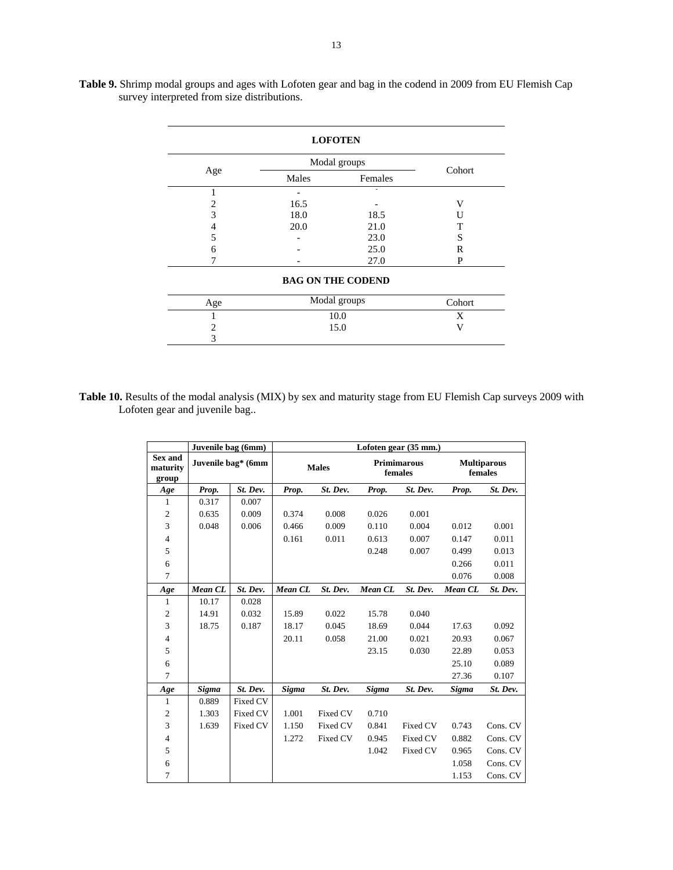|     |       | <b>LOFOTEN</b>           |        |  |  |  |  |  |
|-----|-------|--------------------------|--------|--|--|--|--|--|
|     |       | Modal groups             | Cohort |  |  |  |  |  |
| Age | Males | Females                  |        |  |  |  |  |  |
|     |       |                          |        |  |  |  |  |  |
| 2   | 16.5  |                          | V      |  |  |  |  |  |
| 3   | 18.0  | 18.5                     | Н      |  |  |  |  |  |
| 4   | 20.0  | 21.0                     | т      |  |  |  |  |  |
| 5   | 23.0  |                          |        |  |  |  |  |  |
| 6   |       | 25.0                     | R      |  |  |  |  |  |
|     |       | 27.0                     | P      |  |  |  |  |  |
|     |       | <b>BAG ON THE CODEND</b> |        |  |  |  |  |  |
| Age |       | Modal groups             | Cohort |  |  |  |  |  |
|     |       | 10.0                     | X      |  |  |  |  |  |
| 2   |       | 15.0                     | v      |  |  |  |  |  |
| 3   |       |                          |        |  |  |  |  |  |

**Table 9.** Shrimp modal groups and ages with Lofoten gear and bag in the codend in 2009 from EU Flemish Cap survey interpreted from size distributions.

Table 10. Results of the modal analysis (MIX) by sex and maturity stage from EU Flemish Cap surveys 2009 with Lofoten gear and juvenile bag..

|                                     | Juvenile bag (6mm) |                    |         |              |         | Lofoten gear (35 mm.)         |         |                               |
|-------------------------------------|--------------------|--------------------|---------|--------------|---------|-------------------------------|---------|-------------------------------|
| <b>Sex and</b><br>maturity<br>group |                    | Juvenile bag* (6mm |         | <b>Males</b> |         | <b>Primimarous</b><br>females |         | <b>Multiparous</b><br>females |
| Age                                 | Prop.              | St. Dev.           | Prop.   | St. Dev.     | Prop.   | St. Dev.                      | Prop.   | St. Dev.                      |
| 1                                   | 0.317              | 0.007              |         |              |         |                               |         |                               |
| $\overline{\mathbf{c}}$             | 0.635              | 0.009              | 0.374   | 0.008        | 0.026   | 0.001                         |         |                               |
| 3                                   | 0.048              | 0.006              | 0.466   | 0.009        | 0.110   | 0.004                         | 0.012   | 0.001                         |
| 4                                   |                    |                    | 0.161   | 0.011        | 0.613   | 0.007                         | 0.147   | 0.011                         |
| 5                                   |                    |                    |         |              | 0.248   | 0.007                         | 0.499   | 0.013                         |
| 6                                   |                    |                    |         |              |         |                               | 0.266   | 0.011                         |
| 7                                   |                    |                    |         |              |         |                               | 0.076   | 0.008                         |
| Age                                 | Mean CL            | St. Dev.           | Mean CL | St. Dev.     | Mean CL | St. Dev.                      | Mean CL | St. Dev.                      |
| $\mathbf{1}$                        | 10.17              | 0.028              |         |              |         |                               |         |                               |
| $\mathfrak{2}$                      | 14.91              | 0.032              | 15.89   | 0.022        | 15.78   | 0.040                         |         |                               |
| 3                                   | 18.75              | 0.187              | 18.17   | 0.045        | 18.69   | 0.044                         | 17.63   | 0.092                         |
| 4                                   |                    |                    | 20.11   | 0.058        | 21.00   | 0.021                         | 20.93   | 0.067                         |
| 5                                   |                    |                    |         |              | 23.15   | 0.030                         | 22.89   | 0.053                         |
| 6                                   |                    |                    |         |              |         |                               | 25.10   | 0.089                         |
| 7                                   |                    |                    |         |              |         |                               | 27.36   | 0.107                         |
| Age                                 | Sigma              | St. Dev.           | Sigma   | St. Dev.     | Sigma   | St. Dev.                      | Sigma   | St. Dev.                      |
| $\mathbf{1}$                        | 0.889              | Fixed CV           |         |              |         |                               |         |                               |
| 2                                   | 1.303<br>Fixed CV  |                    | 1.001   | Fixed CV     | 0.710   |                               |         |                               |
| 3                                   | 1.639<br>Fixed CV  |                    | 1.150   | Fixed CV     | 0.841   | Fixed CV                      | 0.743   | Cons. CV                      |
| 4                                   |                    |                    | 1.272   | Fixed CV     | 0.945   | Fixed CV                      | 0.882   | Cons. CV                      |
| 5                                   |                    |                    |         |              | 1.042   | Fixed CV                      | 0.965   | Cons. CV                      |
|                                     |                    |                    |         |              |         |                               |         |                               |
| 6                                   |                    |                    |         |              |         |                               | 1.058   | Cons. CV                      |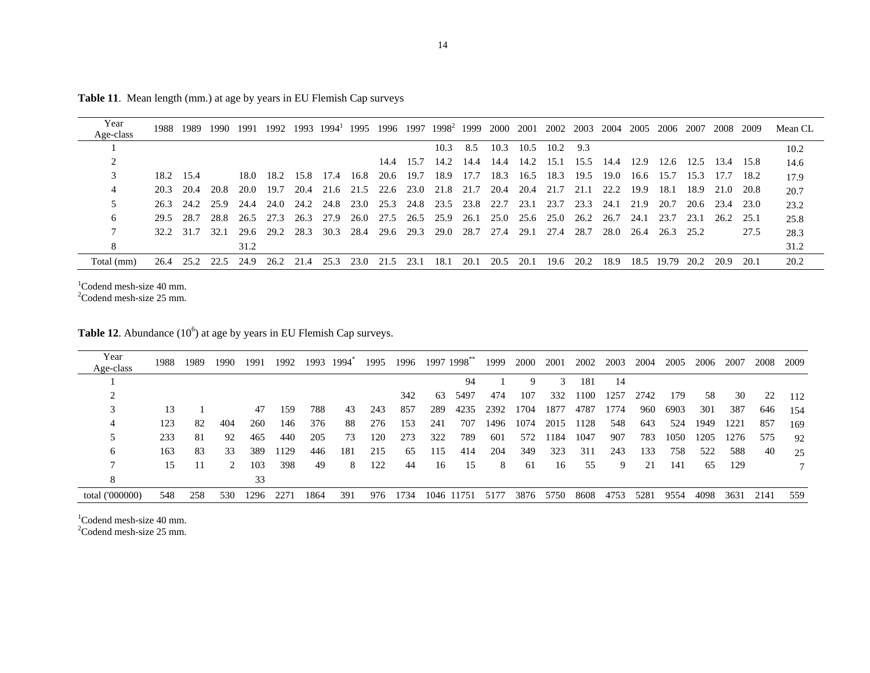| Year       | 1988      | 1989      | 1990 | 1991 | 1992 | 1993 | $1994^{\text{T}}$ |                |                |           | 1995 1996 1997 1998 <sup>2</sup> | 1999      | 2000 | 2001           | 2002 2003 |      | 2004 | 2005 | 2006 2007 |      | 2008 | 2009   | Mean CL |
|------------|-----------|-----------|------|------|------|------|-------------------|----------------|----------------|-----------|----------------------------------|-----------|------|----------------|-----------|------|------|------|-----------|------|------|--------|---------|
| Age-class  |           |           |      |      |      |      |                   |                |                |           |                                  |           |      |                |           |      |      |      |           |      |      |        |         |
|            |           |           |      |      |      |      |                   |                |                |           | 10.3                             | 8.5       | 10.3 | 10.5           | 10.2      | 9.3  |      |      |           |      |      |        | 10.2    |
|            |           |           |      |      |      |      |                   |                |                | 14.4 15.7 | 14.2                             | 14.4      | 14.4 | 14.2 15.1      |           | 15.5 | 14.4 | 12.9 | 12.6      | 12.5 | 13.4 | -15.8  | 14.6    |
|            | 18.2 15.4 |           |      | 18.0 | 18.2 | 15.8 | 17.4              | 16.8           | 20.6           | 19.7      | 18.9                             | 17.7      | 18.3 | 16.5           | 18.3      | 19.5 | 19.0 | 16.6 | 15.7      | 15.3 | 17.7 | 18.2   | 17.9    |
|            | 20.3      | 20.4      | 20.8 | 20.0 | 19.7 | 20.4 |                   | 21.6 21.5 22.6 |                | 23.0      | 21.8                             | 21.7      | 20.4 | 20.4           | 21.7      | 21.1 | 22.2 | 19.9 | 18.1      | 18.9 | 21.0 | 20.8   | 20.7    |
|            | 26.3      | 24.2      | 25.9 | 24.4 | 24.0 | 24.2 | 24.8              |                | 23.0 25.3 24.8 |           |                                  | 23.5 23.8 | 22.7 | 23.1           | 23.7      | 23.3 | 24.1 | 21.9 | 20.7      | 20.6 | 23.4 | 23.0   | 23.2    |
| 6          | 29.5      | 28.7      | 28.8 | 26.5 | 27.3 | 26.3 | 27.9              | 26.0           | 27.5           | 26.5      | 25.9                             | 26.1      |      | 25.0 25.6 25.0 |           | 26.2 | 26.7 | 24.1 | 23.7      | 23.1 | 26.2 | - 25.1 | 25.8    |
|            |           | 32.2 31.7 | 32.1 | 29.6 | 29.2 | 28.3 | 30.3              | 28.4 29.6      |                | 29.3      | 29.0                             | 28.7      | 27.4 | 29.1           | 27.4      | 28.7 | 28.0 | 26.4 | 26.3      | 25.2 |      | 27.5   | 28.3    |
|            |           |           |      | 31.2 |      |      |                   |                |                |           |                                  |           |      |                |           |      |      |      |           |      |      |        | 31.2    |
| Total (mm) | 26.4      | 25.2      | 22.5 | 24.9 | 26.2 | 21.4 | 25.3              | 23.0           | 21.5           | 23.       | 18.1                             | 20.1      | 20.5 | 20.1           | 19.6      | 20.2 | 18.9 | 18.5 | 19.79     | 20.2 | 20.9 | 20.1   | 20.2    |

**Table 11**. Mean length (mm.) at age by years in EU Flemish Cap surveys

 $1$ Codend mesh-size 40 mm.

 $2^2$ Codend mesh-size 25 mm.

**Table 12.** Abundance (10<sup>6</sup>) at age by years in EU Flemish Cap surveys.

| Year<br>Age-class | 1988 | 1989 | 1990 | 1991 | 1992 | 1993 | 1994 | 1995 | 1996 |     | 1997 1998** | 1999 | 2000 | 2001 | 2002 | 2003 | 2004 | 2005 | 2006 | 2007 | 2008 | 2009 |
|-------------------|------|------|------|------|------|------|------|------|------|-----|-------------|------|------|------|------|------|------|------|------|------|------|------|
|                   |      |      |      |      |      |      |      |      |      |     | 94          |      | 9    | 3    | 181  | 14   |      |      |      |      |      |      |
|                   |      |      |      |      |      |      |      |      | 342  | 63  | 5497        | 474  | 107  | 332  | 1100 | 1257 | 2742 | 179  | 58   | 30   | 22   | 112  |
|                   | 13   |      |      | 47   | 159  | 788  | 43   | 243  | 857  | 289 | 4235        | 2392 | 1704 | 1877 | 4787 | 1774 | 960  | 6903 | 301  | 387  | 646  | 154  |
| 4                 | 123  | 82   | 404  | 260  | 146  | 376  | 88   | 276  | 153  | 241 | 707         | 1496 | 1074 | 2015 | 1128 | 548  | 643  | 524  | 1949 | 1221 | 857  | 169  |
|                   | 233  | 81   | 92   | 465  | 440  | 205  | 73   | 120  | 273  | 322 | 789         | 601  | 572  | 1184 | 1047 | 907  | 783  | 1050 | 1205 | 1276 | 575  | 92   |
| O                 | 163  | 83   | 33   | 389  | 1129 | 446  | 181  | 215  | 65   | 115 | 414         | 204  | 349  | 323  | 311  | 243  | 133  | 758  | 522  | 588  | 40   | 25   |
|                   | 15   | - 11 | 2    | 103  | 398  | 49   | 8    | 122  | 44   | 16  | 15          | 8    | -61  | 16   | 55   | 9    | 21   | 141  | 65   | 129  |      |      |
| 8                 |      |      |      | 33   |      |      |      |      |      |     |             |      |      |      |      |      |      |      |      |      |      |      |
| total ('000000)   | 548  | 258  | 530  | 1296 | 2271 | 1864 | 391  | 976  | 1734 |     | 1046 11751  | 5177 | 3876 | 5750 | 8608 | 4753 | 5281 | 9554 | 4098 | 3631 | 2141 | 559  |

 $1$ Codend mesh-size 40 mm.

2Codend mesh-size 25 mm.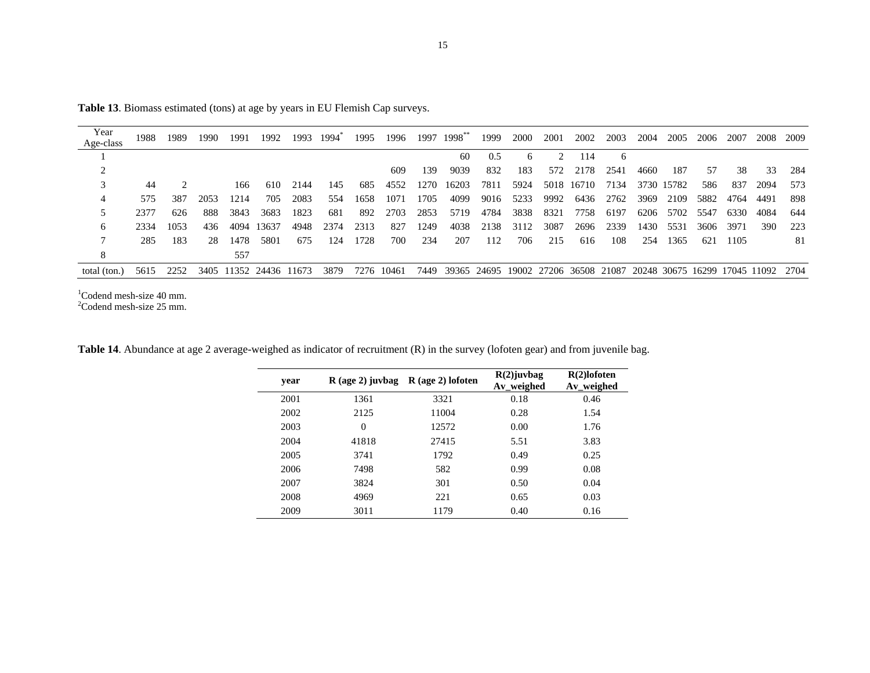| Year         | 1988 | 1989 | 1990 | 1991 | 1992                   | 1993 | 1994 | 1995 | 1996  |      | 1997 1998**                                                            | 1999 | 2000 | 2001 | 2002       | 2003 | 2004 | 2005  | 2006 | 2007 | 2008 | 2009 |
|--------------|------|------|------|------|------------------------|------|------|------|-------|------|------------------------------------------------------------------------|------|------|------|------------|------|------|-------|------|------|------|------|
| Age-class    |      |      |      |      |                        |      |      |      |       |      |                                                                        |      |      |      |            |      |      |       |      |      |      |      |
|              |      |      |      |      |                        |      |      |      |       |      | 60                                                                     | 0.5  | 6    |      | 114        | 6    |      |       |      |      |      |      |
|              |      |      |      |      |                        |      |      |      | 609   | 139  | 9039                                                                   | 832  | 183  | 572  | 2178       | 2541 | 4660 | 187   | .57  | 38   | 33   | 284  |
| 3            | 44   |      |      | 166  | 610                    | 2144 | 145  | 685  | 4552  | 1270 | 16203                                                                  | 7811 | 5924 |      | 5018 16710 | 7134 | 3730 | 15782 | 586  | 837  | 2094 | 573  |
| 4            | 575  | 387  | 2053 | 1214 | 705                    | 2083 | 554  | 1658 | 1071  | 1705 | 4099                                                                   | 9016 | 5233 | 9992 | 6436       | 2762 | 3969 | 2109  | 5882 | 4764 | 4491 | 898  |
| 5            | 2377 | 626  | 888  | 3843 | 3683                   | 1823 | 681  | 892  | 2703  | 2853 | 5719                                                                   | 4784 | 3838 | 8321 | 7758       | 6197 | 6206 | 5702  | 5547 | 6330 | 4084 | 644  |
| 6            | 2334 | 1053 | 436  | 4094 | 13637                  | 4948 | 2374 | 2313 | 827   | 1249 | 4038                                                                   | 2138 | 3112 | 3087 | 2696       | 2339 | 1430 | 5531  | 3606 | 3971 | 390  | 223  |
|              | 285  | 183  | 28   | 1478 | 5801                   | 675  | 124  | 1728 | 700   | 234  | 207                                                                    | 112  | 706  | 215  | 616        | 108  | 254  | 1365  | 621  | 1105 |      | 81   |
| 8            |      |      |      | 557  |                        |      |      |      |       |      |                                                                        |      |      |      |            |      |      |       |      |      |      |      |
| total (ton.) | 5615 | 2252 |      |      | 3405 11352 24436 11673 |      | 3879 | 7276 | 10461 | 7449 | 39365 24695 19002 27206 36508 21087 20248 30675 16299 17045 11092 2704 |      |      |      |            |      |      |       |      |      |      |      |

**Table 13**. Biomass estimated (tons) at age by years in EU Flemish Cap surveys.

 $1$ Codend mesh-size 40 mm.<br>  $2$ Codend mesh-size 25 mm.

| Table 14. Abundance at age 2 average-weighed as indicator of recruitment (R) in the survey (lofoten gear) and from juvenile bag. |  |
|----------------------------------------------------------------------------------------------------------------------------------|--|
|----------------------------------------------------------------------------------------------------------------------------------|--|

| year |          | $R$ (age 2) juvbag $R$ (age 2) lofoten | $R(2)$ juvbag<br>Av_weighed | $R(2)$ lofoten<br>Av_weighed |
|------|----------|----------------------------------------|-----------------------------|------------------------------|
| 2001 | 1361     | 3321                                   | 0.18                        | 0.46                         |
| 2002 | 2125     | 11004                                  | 0.28                        | 1.54                         |
| 2003 | $\Omega$ | 12572                                  | 0.00                        | 1.76                         |
| 2004 | 41818    | 27415                                  | 5.51                        | 3.83                         |
| 2005 | 3741     | 1792                                   | 0.49                        | 0.25                         |
| 2006 | 7498     | 582                                    | 0.99                        | 0.08                         |
| 2007 | 3824     | 301                                    | 0.50                        | 0.04                         |
| 2008 | 4969     | 221                                    | 0.65                        | 0.03                         |
| 2009 | 3011     | 1179                                   | 0.40                        | 0.16                         |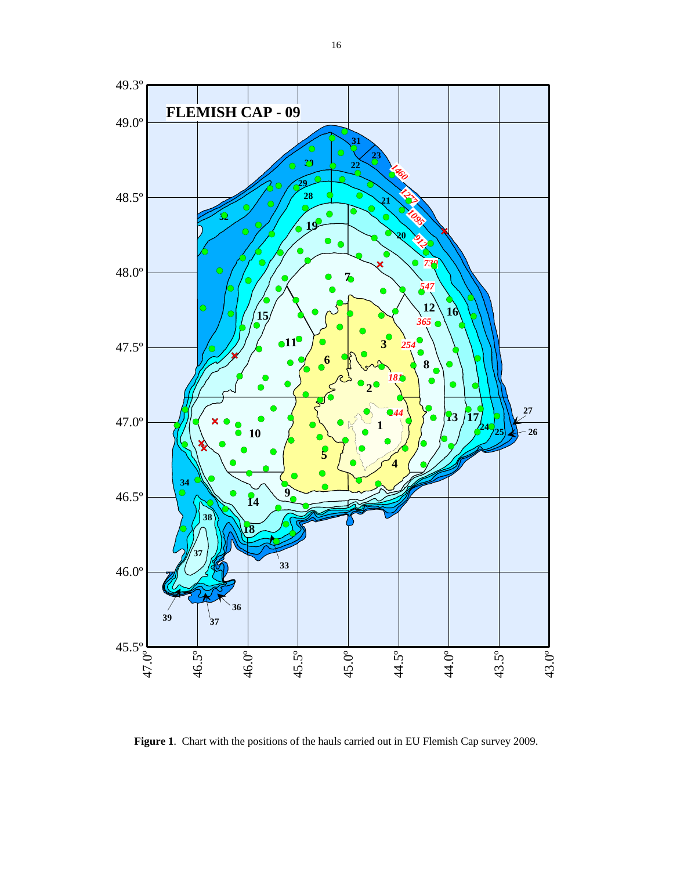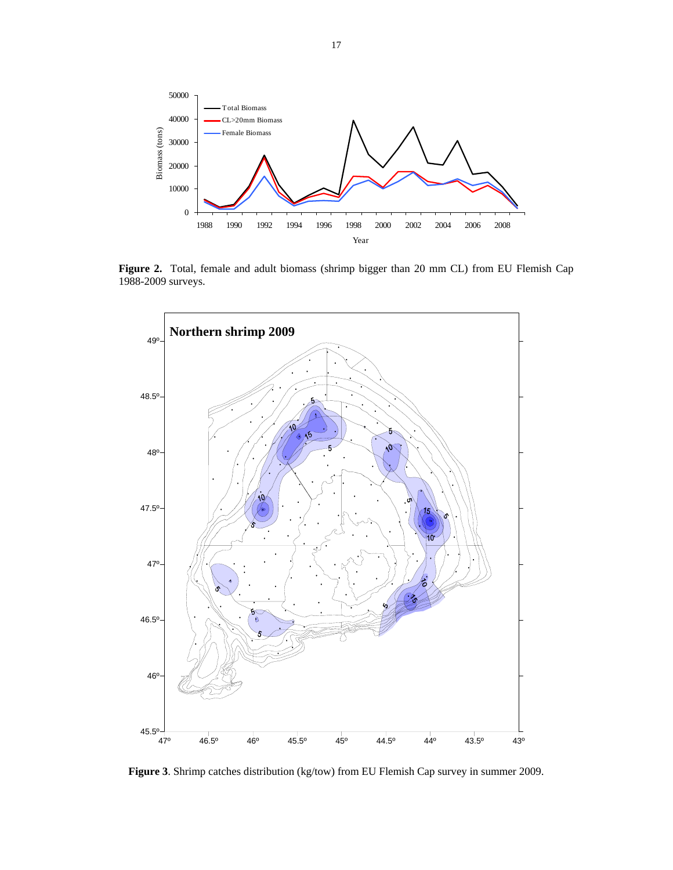

**Figure 2.** Total, female and adult biomass (shrimp bigger than 20 mm CL) from EU Flemish Cap 1988-2009 surveys.



**Figure 3**. Shrimp catches distribution (kg/tow) from EU Flemish Cap survey in summer 2009.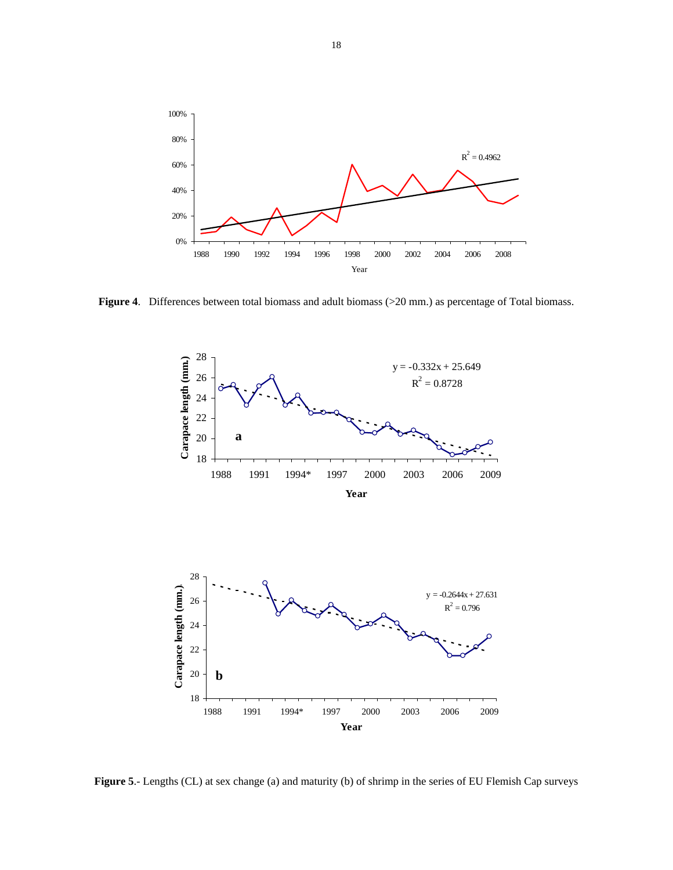

**Figure 4**. Differences between total biomass and adult biomass (>20 mm.) as percentage of Total biomass.



**Figure 5**.- Lengths (CL) at sex change (a) and maturity (b) of shrimp in the series of EU Flemish Cap surveys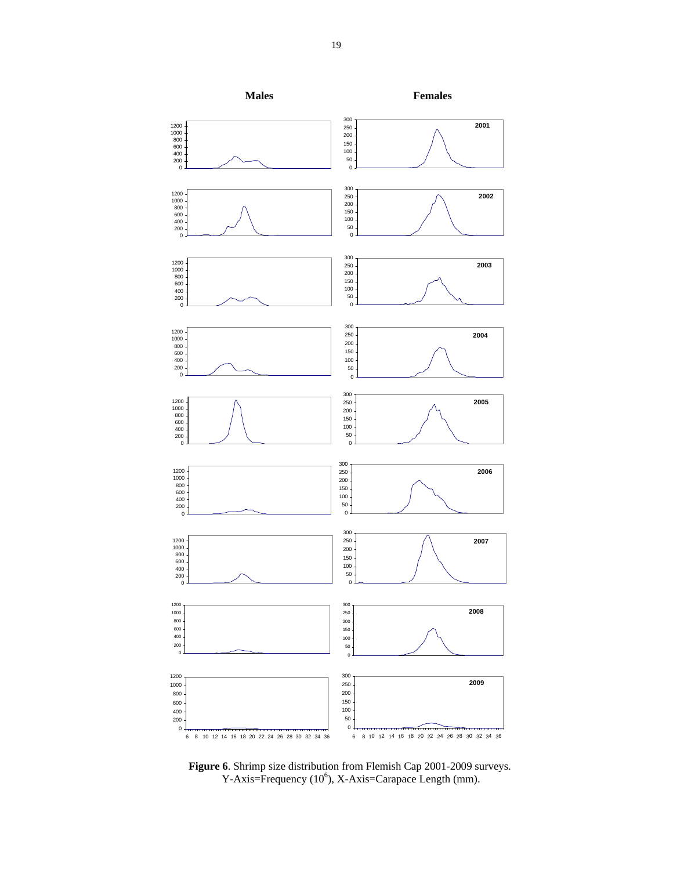

**Figure 6**. Shrimp size distribution from Flemish Cap 2001-2009 surveys.  $Y-Axis = Frequency (10<sup>6</sup>), X-Axis = Carapace Length (mm).$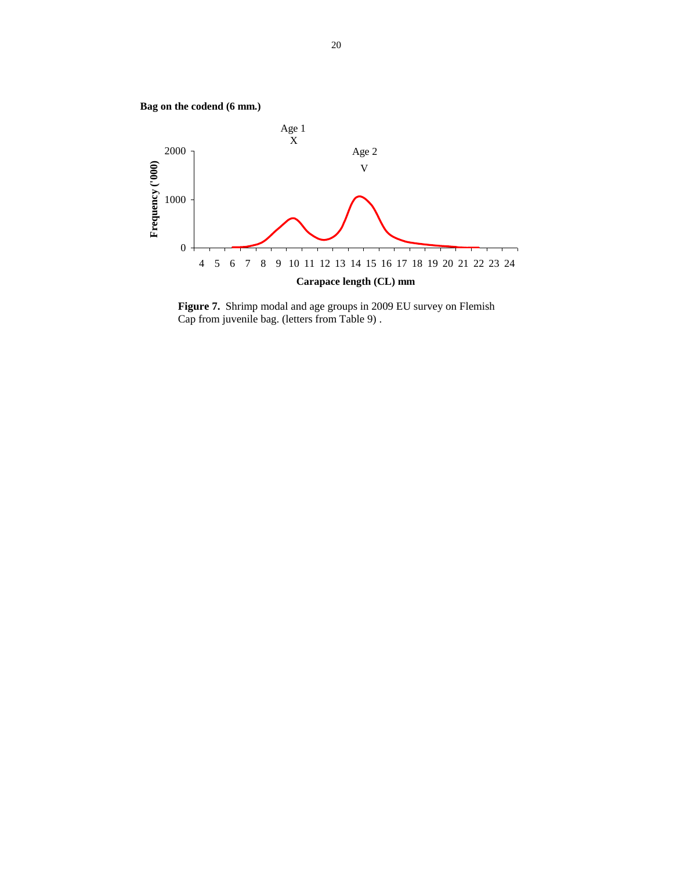

**Figure 7.** Shrimp modal and age groups in 2009 EU survey on Flemish Cap from juvenile bag. (letters from Table 9) .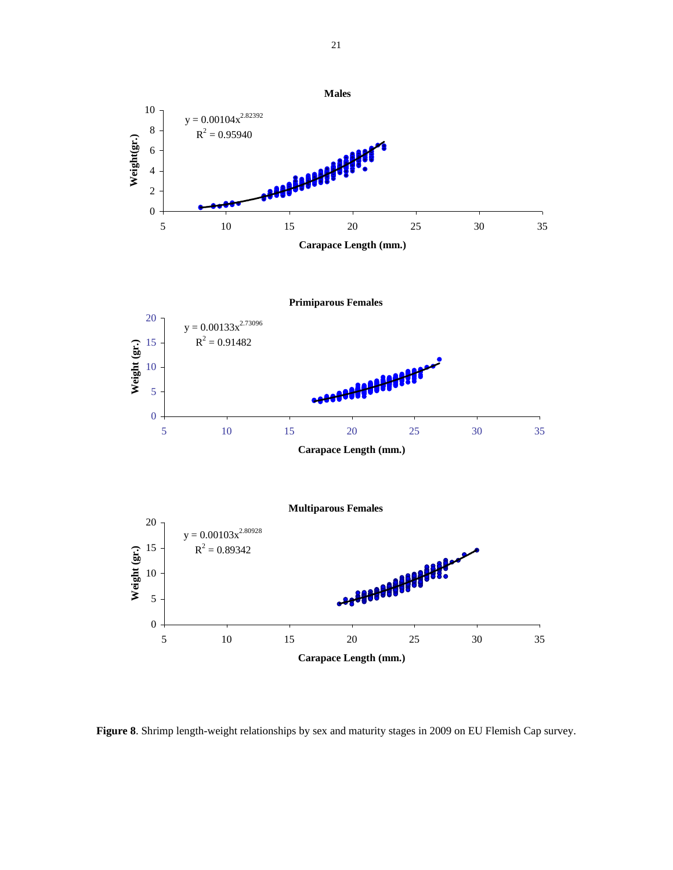

**Figure 8**. Shrimp length-weight relationships by sex and maturity stages in 2009 on EU Flemish Cap survey.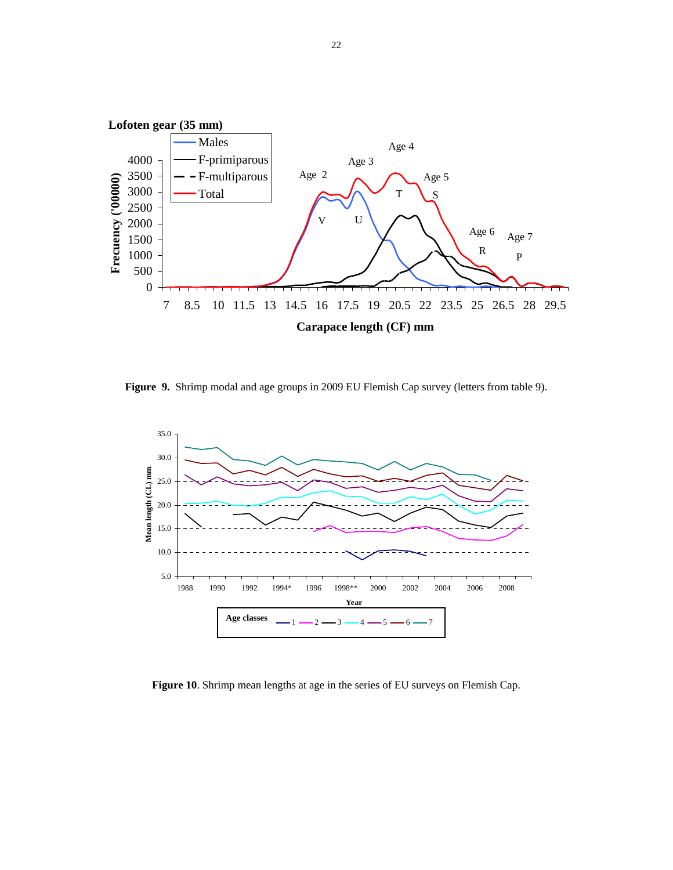

**Figure 9.** Shrimp modal and age groups in 2009 EU Flemish Cap survey (letters from table 9).



**Figure 10**. Shrimp mean lengths at age in the series of EU surveys on Flemish Cap.